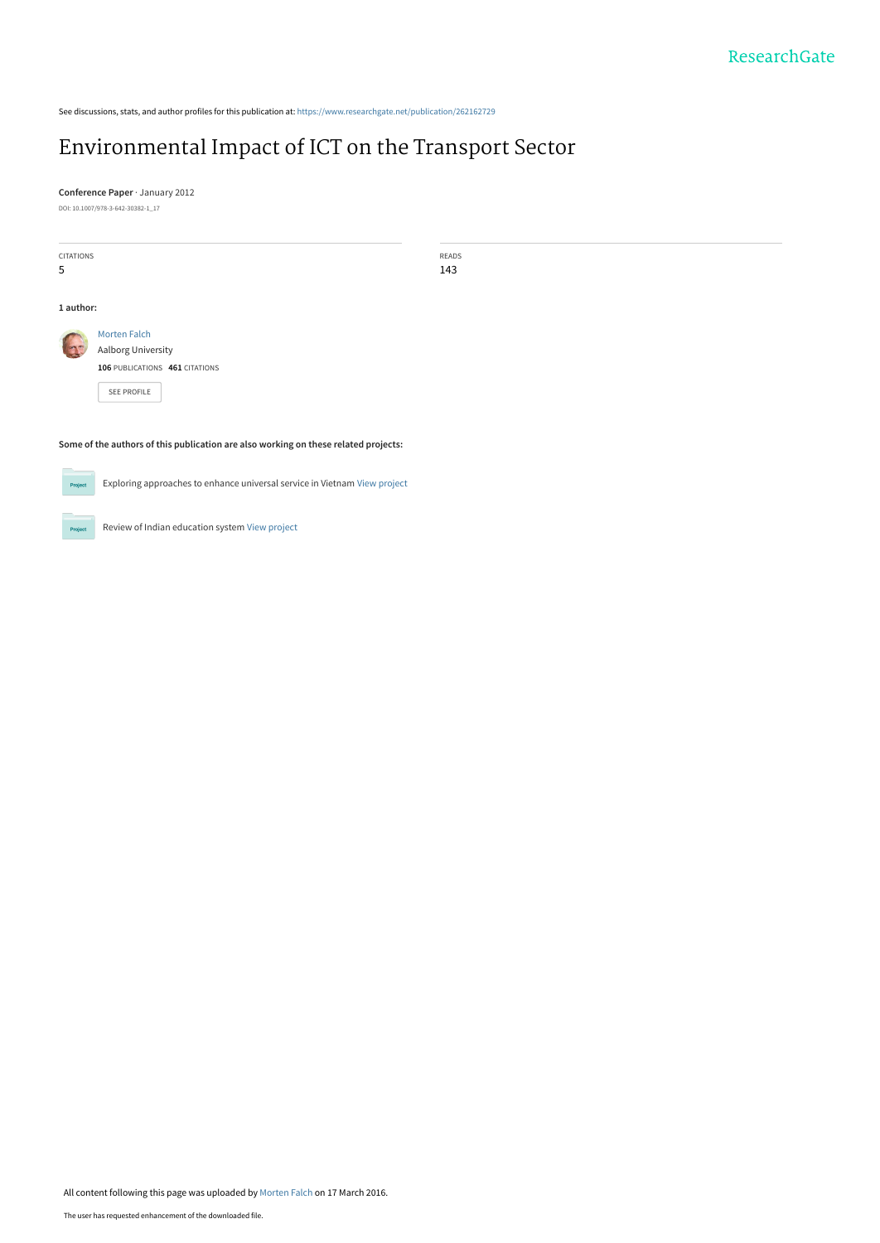See discussions, stats, and author profiles for this publication at: [https://www.researchgate.net/publication/262162729](https://www.researchgate.net/publication/262162729_Environmental_Impact_of_ICT_on_the_Transport_Sector?enrichId=rgreq-49e32daabe6097b914aef1c3f387c3b2-XXX&enrichSource=Y292ZXJQYWdlOzI2MjE2MjcyOTtBUzozNDA1OTgzMjczOTg0MDVAMTQ1ODIxNjM3NzkzNg%3D%3D&el=1_x_2&_esc=publicationCoverPdf)

# [Environmental Impact of ICT on the Transport Sector](https://www.researchgate.net/publication/262162729_Environmental_Impact_of_ICT_on_the_Transport_Sector?enrichId=rgreq-49e32daabe6097b914aef1c3f387c3b2-XXX&enrichSource=Y292ZXJQYWdlOzI2MjE2MjcyOTtBUzozNDA1OTgzMjczOTg0MDVAMTQ1ODIxNjM3NzkzNg%3D%3D&el=1_x_3&_esc=publicationCoverPdf)

**Conference Paper** · January 2012 DOI: 10.1007/978-3-642-30382-1\_17

Project

| <b>CITATIONS</b><br>5 |                                                                                            | READS<br>143 |
|-----------------------|--------------------------------------------------------------------------------------------|--------------|
| 1 author:             |                                                                                            |              |
|                       | <b>Morten Falch</b><br>Aalborg University<br>106 PUBLICATIONS 461 CITATIONS<br>SEE PROFILE |              |
|                       | Some of the authors of this publication are also working on these related projects:        |              |

Exploring approaches to enhance universal service in Vietnam [View project](https://www.researchgate.net/project/Exploring-approaches-to-enhance-universal-service-in-Vietnam?enrichId=rgreq-49e32daabe6097b914aef1c3f387c3b2-XXX&enrichSource=Y292ZXJQYWdlOzI2MjE2MjcyOTtBUzozNDA1OTgzMjczOTg0MDVAMTQ1ODIxNjM3NzkzNg%3D%3D&el=1_x_9&_esc=publicationCoverPdf)

Review of Indian education system [View project](https://www.researchgate.net/project/Review-of-Indian-education-system?enrichId=rgreq-49e32daabe6097b914aef1c3f387c3b2-XXX&enrichSource=Y292ZXJQYWdlOzI2MjE2MjcyOTtBUzozNDA1OTgzMjczOTg0MDVAMTQ1ODIxNjM3NzkzNg%3D%3D&el=1_x_9&_esc=publicationCoverPdf) Project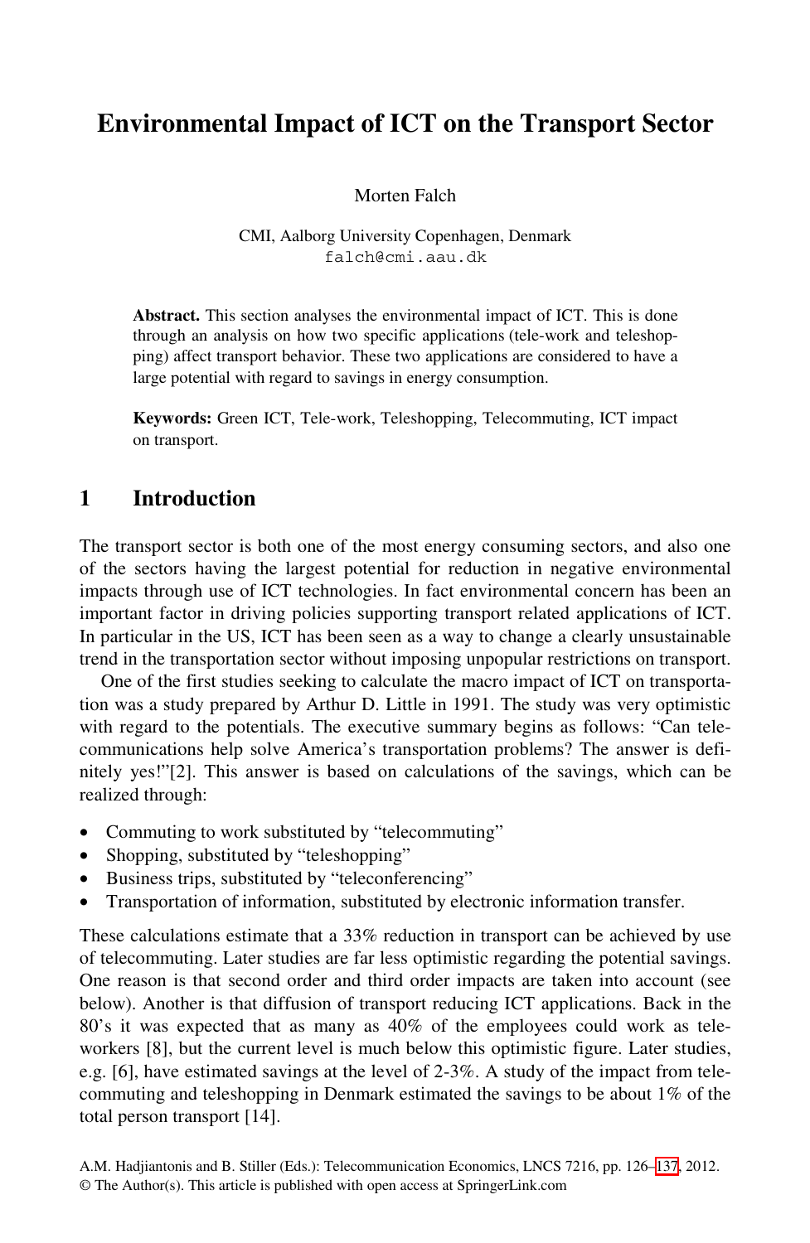# **Environmental Impact of ICT on the Transport Sector**

Morten Falch

CMI, Aalborg University Copenhagen, Denmark falch@cmi.aau.dk

**Abstract.** This section analyses the environmental impact of ICT. This is done through an analysis on how two specific applications (tele-work and teleshopping) affect transport behavior. These two applications are considered to have a large potential with regard to savings in energy consumption.

**Keywords:** Green ICT, Tele-work, Teleshopping, Telecommuting, ICT impact on transport.

## **1 Introduction**

The transport sector is both one of the most energy consuming sectors, and also one of the sectors having the largest potential for reduction in negative environmental impacts through use of ICT technologies. In fact environmental concern has been an important factor in driving policies supporting transport related applications of ICT. In particular in the US, ICT has been seen as a way to change a clearly unsustainable trend in the transportation sector without imposing unpopular restrictions on transport.

One of the first studies seeking to calculate the macro impact of ICT on transportation was a study prepared by Arthur D. Little in 1991. The study was very optimistic with regard to the potentials. The executive summary begins as follows: "Can telecommunications help solve America's transportation problems? The answer is definitely yes!"[2]. This answer is based on calculations of the savings, which can be realized through:

- Commuting to work substituted by "telecommuting"
- Shopping, substituted by "teleshopping"
- Business trips, substituted by "teleconferencing"
- Transportation of information, substituted by electronic information transfer.

These calculations estimate that a 33% reduction in transport can be achieved by use of telecommuting. Later studies are far less optimistic regarding the potential savings. One reason is that second order and third order impacts are taken into account (see below). Another is that diffusion of transport reducing ICT applications. Back in the 80's it was expected that as many as 40% of the employees could work as teleworkers [8], but the current level is much below this optimistic figure. Later studies, e.g. [6], have estimated savings at the level of 2-3%. A study of the impact from telecommuting and teleshopping in Denmark estimated the savings to be about 1% of the total person transport [14].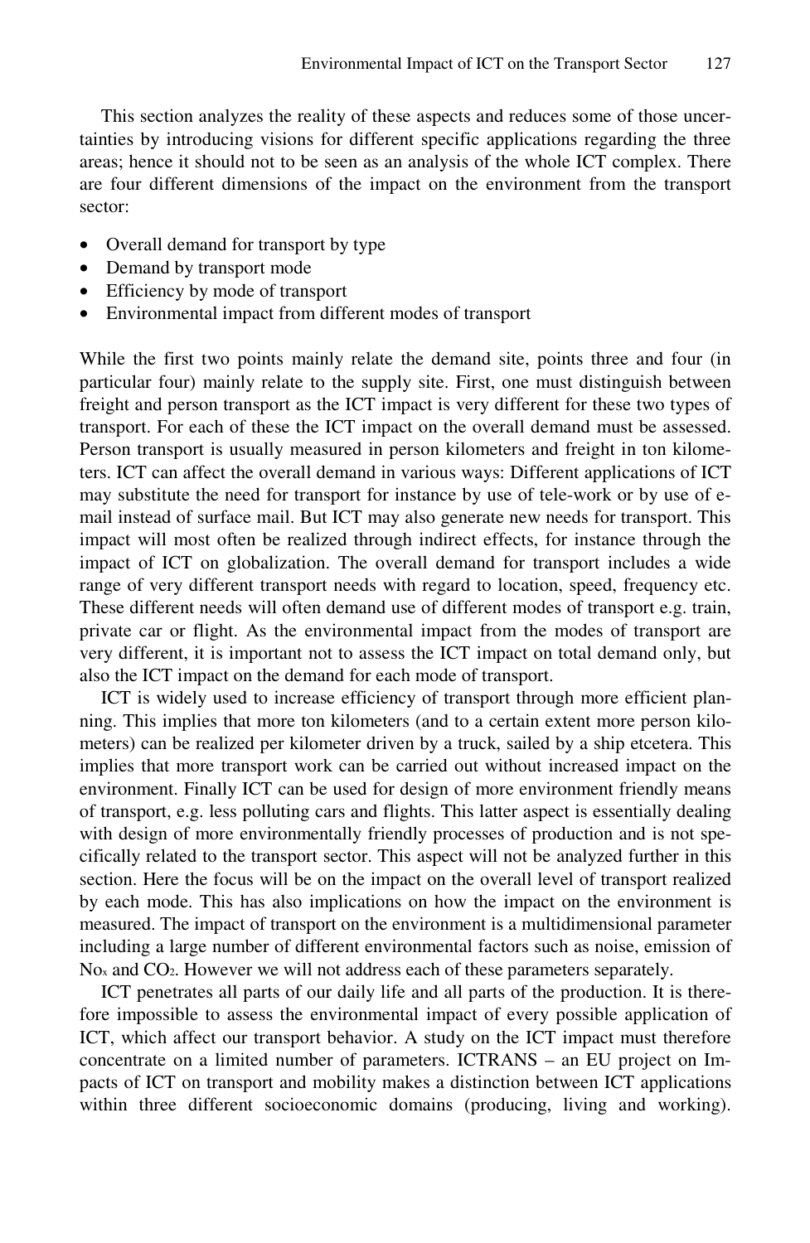This section analyzes the reality of these aspects and reduces some of those uncertainties by introducing visions for different specific applications regarding the three areas; hence it should not to be seen as an analysis of the whole ICT complex. There are four different dimensions of the impact on the environment from the transport sector:

- Overall demand for transport by type
- Demand by transport mode
- Efficiency by mode of transport
- Environmental impact from different modes of transport

While the first two points mainly relate the demand site, points three and four (in particular four) mainly relate to the supply site. First, one must distinguish between freight and person transport as the ICT impact is very different for these two types of transport. For each of these the ICT impact on the overall demand must be assessed. Person transport is usually measured in person kilometers and freight in ton kilometers. ICT can affect the overall demand in various ways: Different applications of ICT may substitute the need for transport for instance by use of tele-work or by use of email instead of surface mail. But ICT may also generate new needs for transport. This impact will most often be realized through indirect effects, for instance through the impact of ICT on globalization. The overall demand for transport includes a wide range of very different transport needs with regard to location, speed, frequency etc. These different needs will often demand use of different modes of transport e.g. train, private car or flight. As the environmental impact from the modes of transport are very different, it is important not to assess the ICT impact on total demand only, but also the ICT impact on the demand for each mode of transport.

ICT is widely used to increase efficiency of transport through more efficient planning. This implies that more ton kilometers (and to a certain extent more person kilometers) can be realized per kilometer driven by a truck, sailed by a ship etcetera. This implies that more transport work can be carried out without increased impact on the environment. Finally ICT can be used for design of more environment friendly means of transport, e.g. less polluting cars and flights. This latter aspect is essentially dealing with design of more environmentally friendly processes of production and is not specifically related to the transport sector. This aspect will not be analyzed further in this section. Here the focus will be on the impact on the overall level of transport realized by each mode. This has also implications on how the impact on the environment is measured. The impact of transport on the environment is a multidimensional parameter including a large number of different environmental factors such as noise, emission of Nox and CO2. However we will not address each of these parameters separately.

ICT penetrates all parts of our daily life and all parts of the production. It is therefore impossible to assess the environmental impact of every possible application of ICT, which affect our transport behavior. A study on the ICT impact must therefore concentrate on a limited number of parameters. ICTRANS – an EU project on Impacts of ICT on transport and mobility makes a distinction between ICT applications within three different socioeconomic domains (producing, living and working).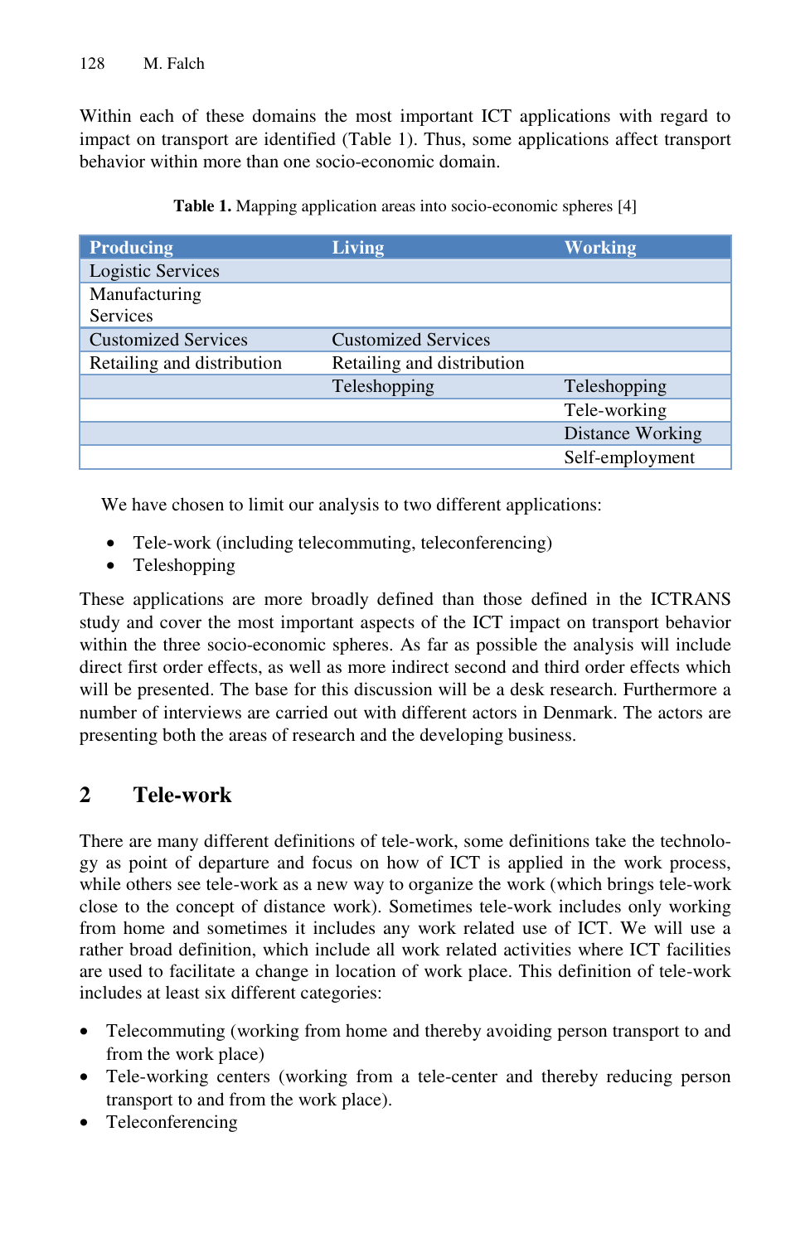Within each of these domains the most important ICT applications with regard to impact on transport are identified (Table 1). Thus, some applications affect transport behavior within more than one socio-economic domain.

|  | Table 1. Mapping application areas into socio-economic spheres [4] |  |  |  |
|--|--------------------------------------------------------------------|--|--|--|
|  |                                                                    |  |  |  |

| <b>Producing</b>           | <b>Living</b>              | <b>Working</b>   |
|----------------------------|----------------------------|------------------|
| Logistic Services          |                            |                  |
| Manufacturing              |                            |                  |
| <b>Services</b>            |                            |                  |
| <b>Customized Services</b> | <b>Customized Services</b> |                  |
| Retailing and distribution | Retailing and distribution |                  |
|                            | Teleshopping               | Teleshopping     |
|                            |                            | Tele-working     |
|                            |                            | Distance Working |
|                            |                            | Self-employment  |

We have chosen to limit our analysis to two different applications:

- Tele-work (including telecommuting, teleconferencing)
- Teleshopping

These applications are more broadly defined than those defined in the ICTRANS study and cover the most important aspects of the ICT impact on transport behavior within the three socio-economic spheres. As far as possible the analysis will include direct first order effects, as well as more indirect second and third order effects which will be presented. The base for this discussion will be a desk research. Furthermore a number of interviews are carried out with different actors in Denmark. The actors are presenting both the areas of research and the developing business.

# **2 Tele-work**

There are many different definitions of tele-work, some definitions take the technology as point of departure and focus on how of ICT is applied in the work process, while others see tele-work as a new way to organize the work (which brings tele-work close to the concept of distance work). Sometimes tele-work includes only working from home and sometimes it includes any work related use of ICT. We will use a rather broad definition, which include all work related activities where ICT facilities are used to facilitate a change in location of work place. This definition of tele-work includes at least six different categories:

- Telecommuting (working from home and thereby avoiding person transport to and from the work place)
- Tele-working centers (working from a tele-center and thereby reducing person transport to and from the work place).
- Teleconferencing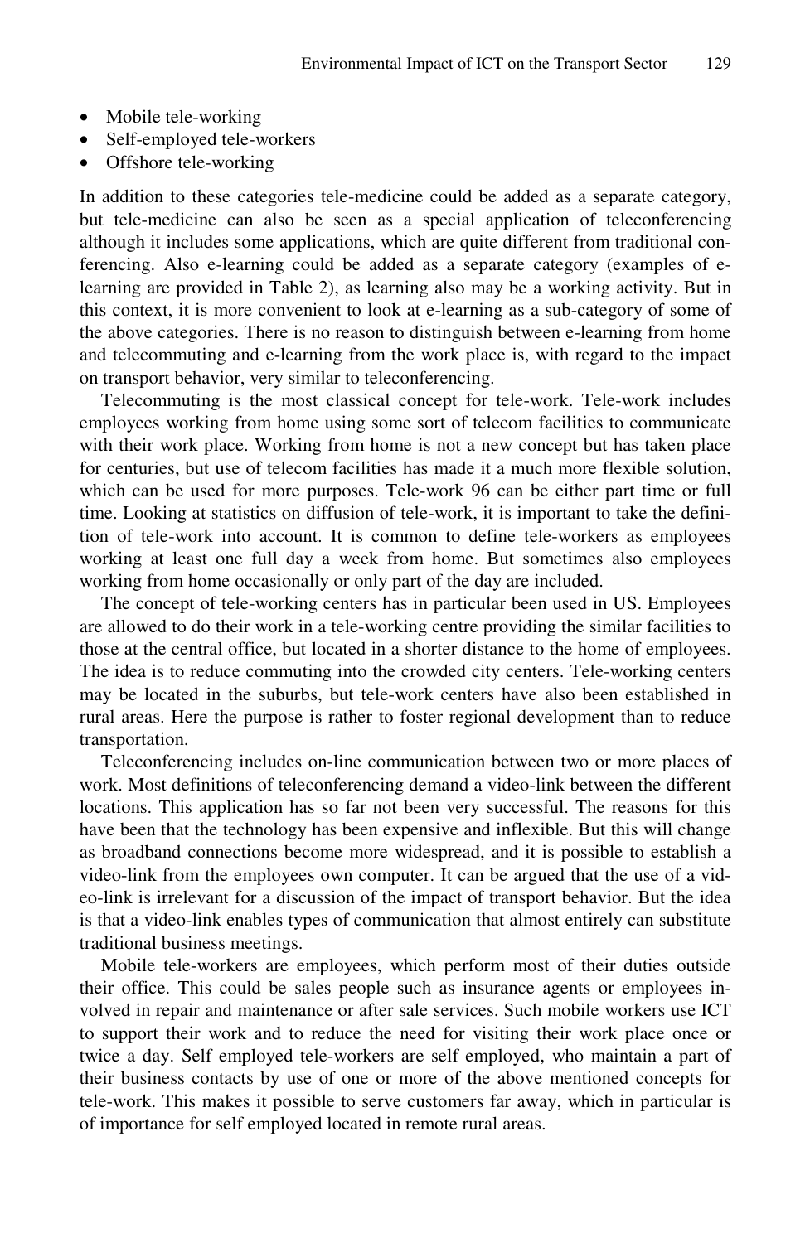- Mobile tele-working
- Self-employed tele-workers
- Offshore tele-working

In addition to these categories tele-medicine could be added as a separate category, but tele-medicine can also be seen as a special application of teleconferencing although it includes some applications, which are quite different from traditional conferencing. Also e-learning could be added as a separate category (examples of elearning are provided in Table 2), as learning also may be a working activity. But in this context, it is more convenient to look at e-learning as a sub-category of some of the above categories. There is no reason to distinguish between e-learning from home and telecommuting and e-learning from the work place is, with regard to the impact on transport behavior, very similar to teleconferencing.

Telecommuting is the most classical concept for tele-work. Tele-work includes employees working from home using some sort of telecom facilities to communicate with their work place. Working from home is not a new concept but has taken place for centuries, but use of telecom facilities has made it a much more flexible solution, which can be used for more purposes. Tele-work 96 can be either part time or full time. Looking at statistics on diffusion of tele-work, it is important to take the definition of tele-work into account. It is common to define tele-workers as employees working at least one full day a week from home. But sometimes also employees working from home occasionally or only part of the day are included.

The concept of tele-working centers has in particular been used in US. Employees are allowed to do their work in a tele-working centre providing the similar facilities to those at the central office, but located in a shorter distance to the home of employees. The idea is to reduce commuting into the crowded city centers. Tele-working centers may be located in the suburbs, but tele-work centers have also been established in rural areas. Here the purpose is rather to foster regional development than to reduce transportation.

Teleconferencing includes on-line communication between two or more places of work. Most definitions of teleconferencing demand a video-link between the different locations. This application has so far not been very successful. The reasons for this have been that the technology has been expensive and inflexible. But this will change as broadband connections become more widespread, and it is possible to establish a video-link from the employees own computer. It can be argued that the use of a video-link is irrelevant for a discussion of the impact of transport behavior. But the idea is that a video-link enables types of communication that almost entirely can substitute traditional business meetings.

Mobile tele-workers are employees, which perform most of their duties outside their office. This could be sales people such as insurance agents or employees involved in repair and maintenance or after sale services. Such mobile workers use ICT to support their work and to reduce the need for visiting their work place once or twice a day. Self employed tele-workers are self employed, who maintain a part of their business contacts by use of one or more of the above mentioned concepts for tele-work. This makes it possible to serve customers far away, which in particular is of importance for self employed located in remote rural areas.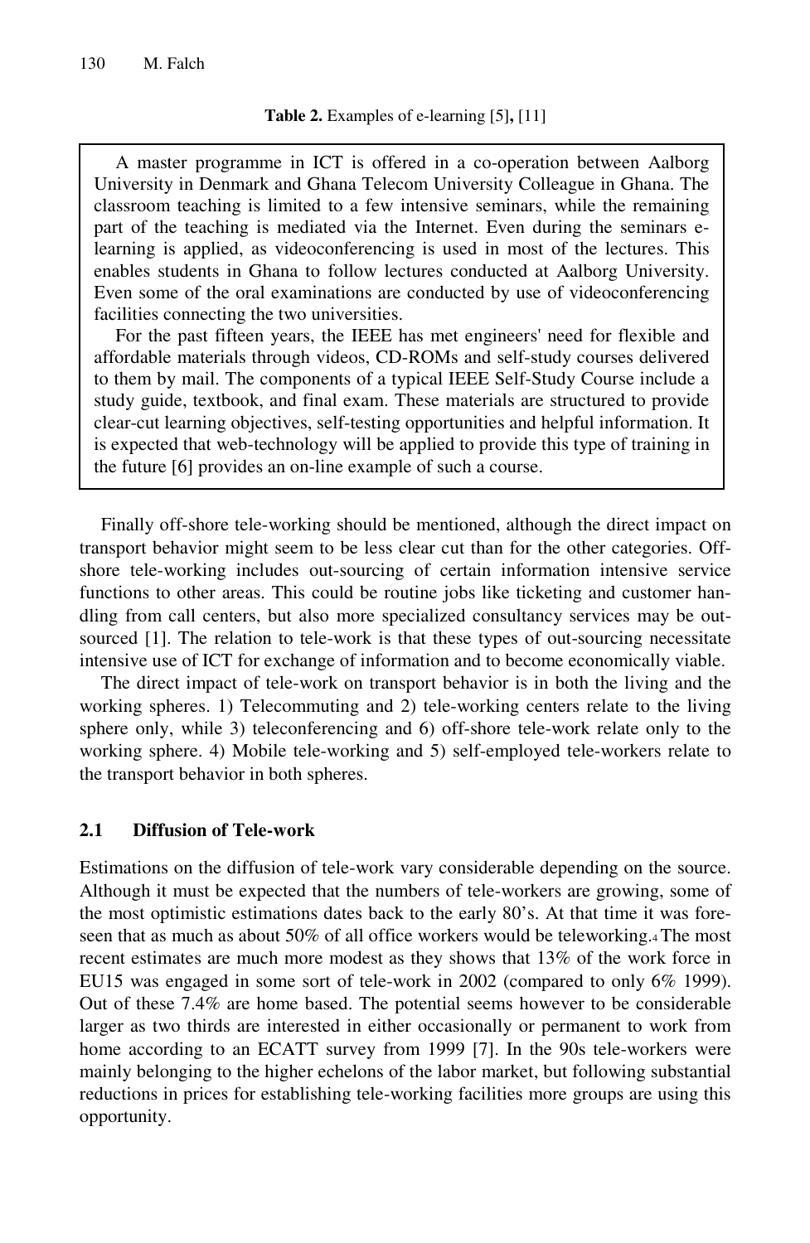#### **Table 2.** Examples of e-learning [5]**,** [11]

A master programme in ICT is offered in a co-operation between Aalborg University in Denmark and Ghana Telecom University Colleague in Ghana. The classroom teaching is limited to a few intensive seminars, while the remaining part of the teaching is mediated via the Internet. Even during the seminars elearning is applied, as videoconferencing is used in most of the lectures. This enables students in Ghana to follow lectures conducted at Aalborg University. Even some of the oral examinations are conducted by use of videoconferencing facilities connecting the two universities.

For the past fifteen years, the IEEE has met engineers' need for flexible and affordable materials through videos, CD-ROMs and self-study courses delivered to them by mail. The components of a typical IEEE Self-Study Course include a study guide, textbook, and final exam. These materials are structured to provide clear-cut learning objectives, self-testing opportunities and helpful information. It is expected that web-technology will be applied to provide this type of training in the future [6] provides an on-line example of such a course.

Finally off-shore tele-working should be mentioned, although the direct impact on transport behavior might seem to be less clear cut than for the other categories. Offshore tele-working includes out-sourcing of certain information intensive service functions to other areas. This could be routine jobs like ticketing and customer handling from call centers, but also more specialized consultancy services may be outsourced [1]. The relation to tele-work is that these types of out-sourcing necessitate intensive use of ICT for exchange of information and to become economically viable.

The direct impact of tele-work on transport behavior is in both the living and the working spheres. 1) Telecommuting and 2) tele-working centers relate to the living sphere only, while 3) teleconferencing and 6) off-shore tele-work relate only to the working sphere. 4) Mobile tele-working and 5) self-employed tele-workers relate to the transport behavior in both spheres.

#### **2.1 Diffusion of Tele-work**

Estimations on the diffusion of tele-work vary considerable depending on the source. Although it must be expected that the numbers of tele-workers are growing, some of the most optimistic estimations dates back to the early 80's. At that time it was foreseen that as much as about 50% of all office workers would be teleworking.4 The most recent estimates are much more modest as they shows that 13% of the work force in EU15 was engaged in some sort of tele-work in 2002 (compared to only 6% 1999). Out of these 7.4% are home based. The potential seems however to be considerable larger as two thirds are interested in either occasionally or permanent to work from home according to an ECATT survey from 1999 [7]. In the 90s tele-workers were mainly belonging to the higher echelons of the labor market, but following substantial reductions in prices for establishing tele-working facilities more groups are using this opportunity.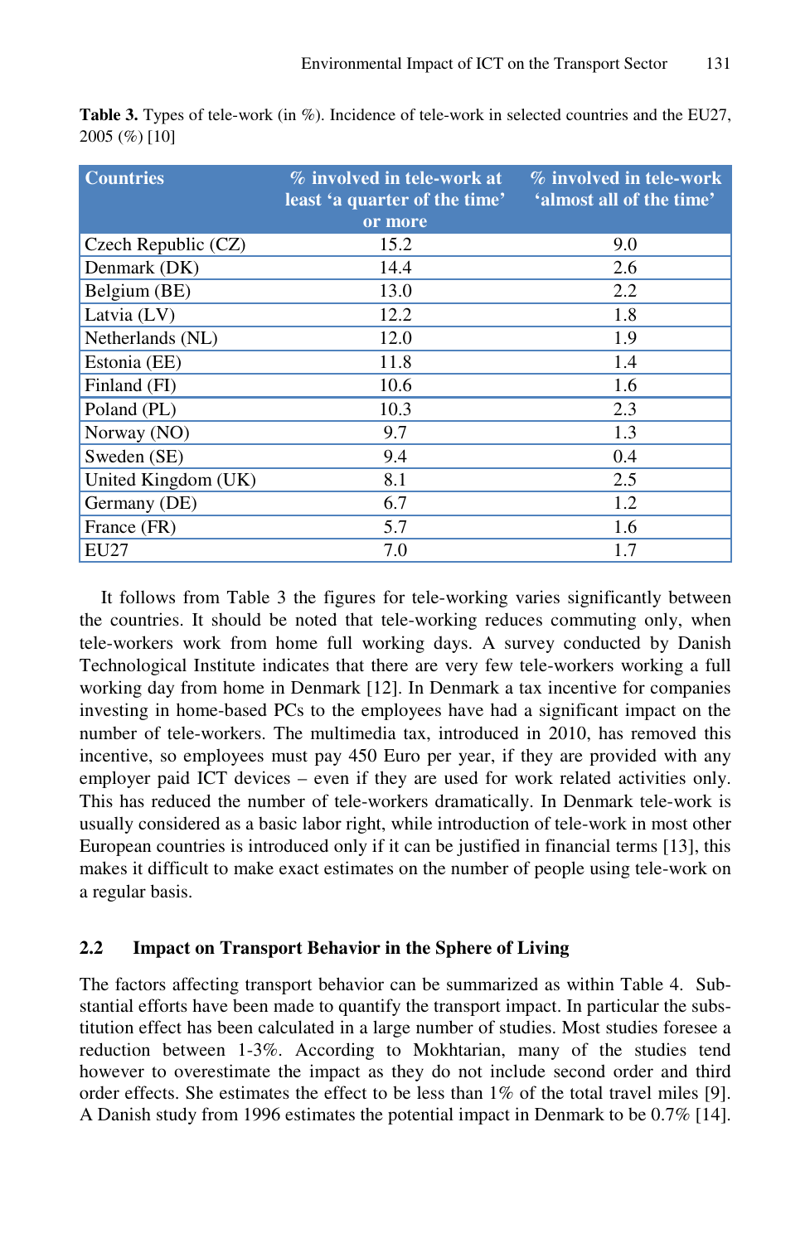| <b>Countries</b>    | % involved in tele-work at<br>least 'a quarter of the time' | % involved in tele-work<br>'almost all of the time' |
|---------------------|-------------------------------------------------------------|-----------------------------------------------------|
|                     | or more                                                     |                                                     |
| Czech Republic (CZ) | 15.2                                                        | 9.0                                                 |
| Denmark (DK)        | 14.4                                                        | 2.6                                                 |
| Belgium (BE)        | 13.0                                                        | 2.2                                                 |
| Latvia (LV)         | 12.2                                                        | 1.8                                                 |
| Netherlands (NL)    | 12.0                                                        | 1.9                                                 |
| Estonia (EE)        | 11.8                                                        | 1.4                                                 |
| Finland (FI)        | 10.6                                                        | 1.6                                                 |
| Poland (PL)         | 10.3                                                        | 2.3                                                 |
| Norway (NO)         | 9.7                                                         | 1.3                                                 |
| Sweden (SE)         | 9.4                                                         | 0.4                                                 |
| United Kingdom (UK) | 8.1                                                         | 2.5                                                 |
| Germany (DE)        | 6.7                                                         | 1.2                                                 |
| France (FR)         | 5.7                                                         | 1.6                                                 |
| EU27                | 7.0                                                         | 1.7                                                 |

**Table 3.** Types of tele-work (in %). Incidence of tele-work in selected countries and the EU27, 2005 (%) [10]

It follows from Table 3 the figures for tele-working varies significantly between the countries. It should be noted that tele-working reduces commuting only, when tele-workers work from home full working days. A survey conducted by Danish Technological Institute indicates that there are very few tele-workers working a full working day from home in Denmark [12]. In Denmark a tax incentive for companies investing in home-based PCs to the employees have had a significant impact on the number of tele-workers. The multimedia tax, introduced in 2010, has removed this incentive, so employees must pay 450 Euro per year, if they are provided with any employer paid ICT devices – even if they are used for work related activities only. This has reduced the number of tele-workers dramatically. In Denmark tele-work is usually considered as a basic labor right, while introduction of tele-work in most other European countries is introduced only if it can be justified in financial terms [13], this makes it difficult to make exact estimates on the number of people using tele-work on a regular basis.

#### **2.2 Impact on Transport Behavior in the Sphere of Living**

The factors affecting transport behavior can be summarized as within Table 4. Substantial efforts have been made to quantify the transport impact. In particular the substitution effect has been calculated in a large number of studies. Most studies foresee a reduction between 1-3%. According to Mokhtarian, many of the studies tend however to overestimate the impact as they do not include second order and third order effects. She estimates the effect to be less than 1% of the total travel miles [9]. A Danish study from 1996 estimates the potential impact in Denmark to be 0.7% [14].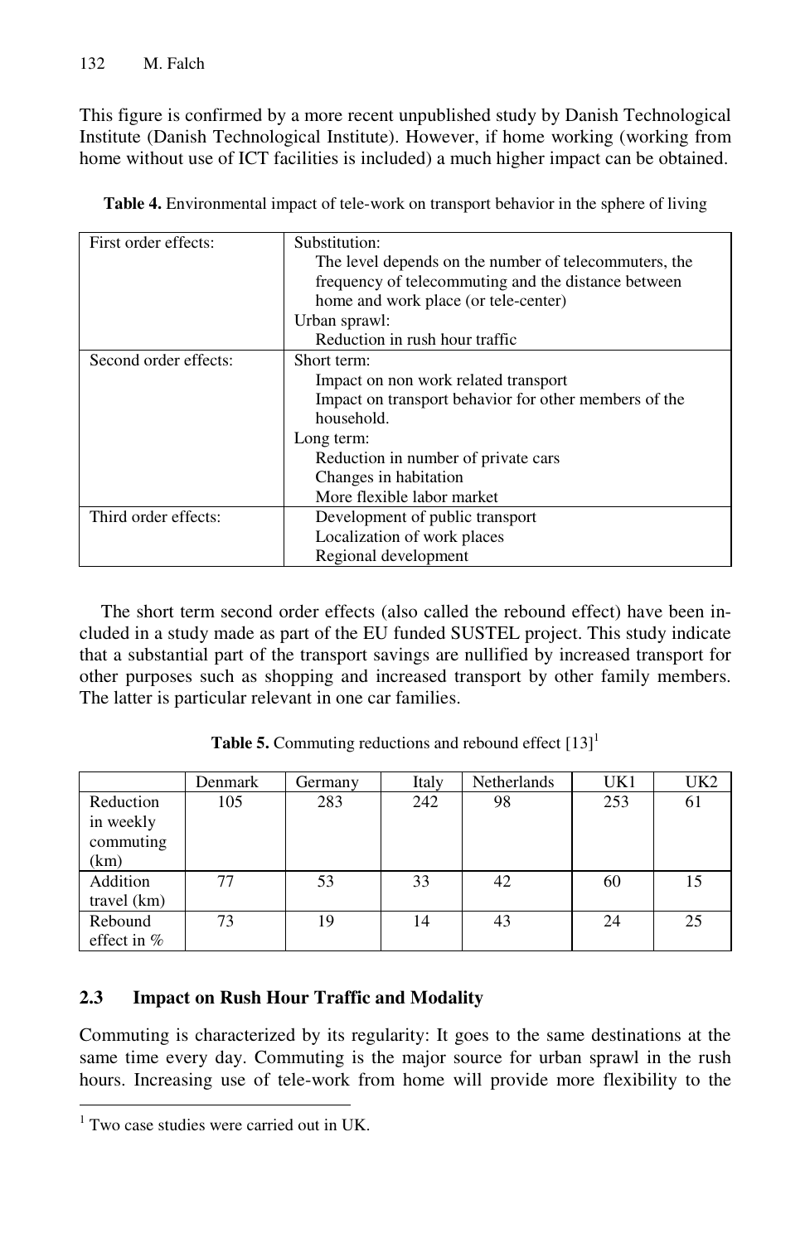This figure is confirmed by a more recent unpublished study by Danish Technological Institute (Danish Technological Institute). However, if home working (working from home without use of ICT facilities is included) a much higher impact can be obtained.

| First order effects:  | Substitution:                                         |  |
|-----------------------|-------------------------------------------------------|--|
|                       | The level depends on the number of telecommuters, the |  |
|                       | frequency of telecommuting and the distance between   |  |
|                       | home and work place (or tele-center)                  |  |
|                       | Urban sprawl:                                         |  |
|                       | Reduction in rush hour traffic                        |  |
| Second order effects: | Short term:                                           |  |
|                       | Impact on non work related transport                  |  |
|                       | Impact on transport behavior for other members of the |  |
|                       | household.                                            |  |
|                       | Long term:                                            |  |
|                       | Reduction in number of private cars                   |  |
|                       | Changes in habitation                                 |  |
|                       | More flexible labor market                            |  |
| Third order effects:  | Development of public transport                       |  |
|                       | Localization of work places                           |  |
|                       | Regional development                                  |  |

**Table 4.** Environmental impact of tele-work on transport behavior in the sphere of living

The short term second order effects (also called the rebound effect) have been included in a study made as part of the EU funded SUSTEL project. This study indicate that a substantial part of the transport savings are nullified by increased transport for other purposes such as shopping and increased transport by other family members. The latter is particular relevant in one car families.

| <b>Table 5.</b> Commuting reductions and rebound effect $[13]$ <sup>1</sup> |  |
|-----------------------------------------------------------------------------|--|
|-----------------------------------------------------------------------------|--|

|               | Denmark | Germany | Italy | <b>Netherlands</b> | UK1 | UK <sub>2</sub> |
|---------------|---------|---------|-------|--------------------|-----|-----------------|
| Reduction     | 105     | 283     | 242   | 98                 | 253 | 61              |
| in weekly     |         |         |       |                    |     |                 |
| commuting     |         |         |       |                    |     |                 |
| (km)          |         |         |       |                    |     |                 |
| Addition      | 77      | 53      | 33    | 42                 | 60  | 15              |
| travel (km)   |         |         |       |                    |     |                 |
| Rebound       | 73      | 19      | 14    | 43                 | 24  | 25              |
| effect in $%$ |         |         |       |                    |     |                 |

## **2.3 Impact on Rush Hour Traffic and Modality**

Commuting is characterized by its regularity: It goes to the same destinations at the same time every day. Commuting is the major source for urban sprawl in the rush hours. Increasing use of tele-work from home will provide more flexibility to the

-

<sup>&</sup>lt;sup>1</sup> Two case studies were carried out in UK.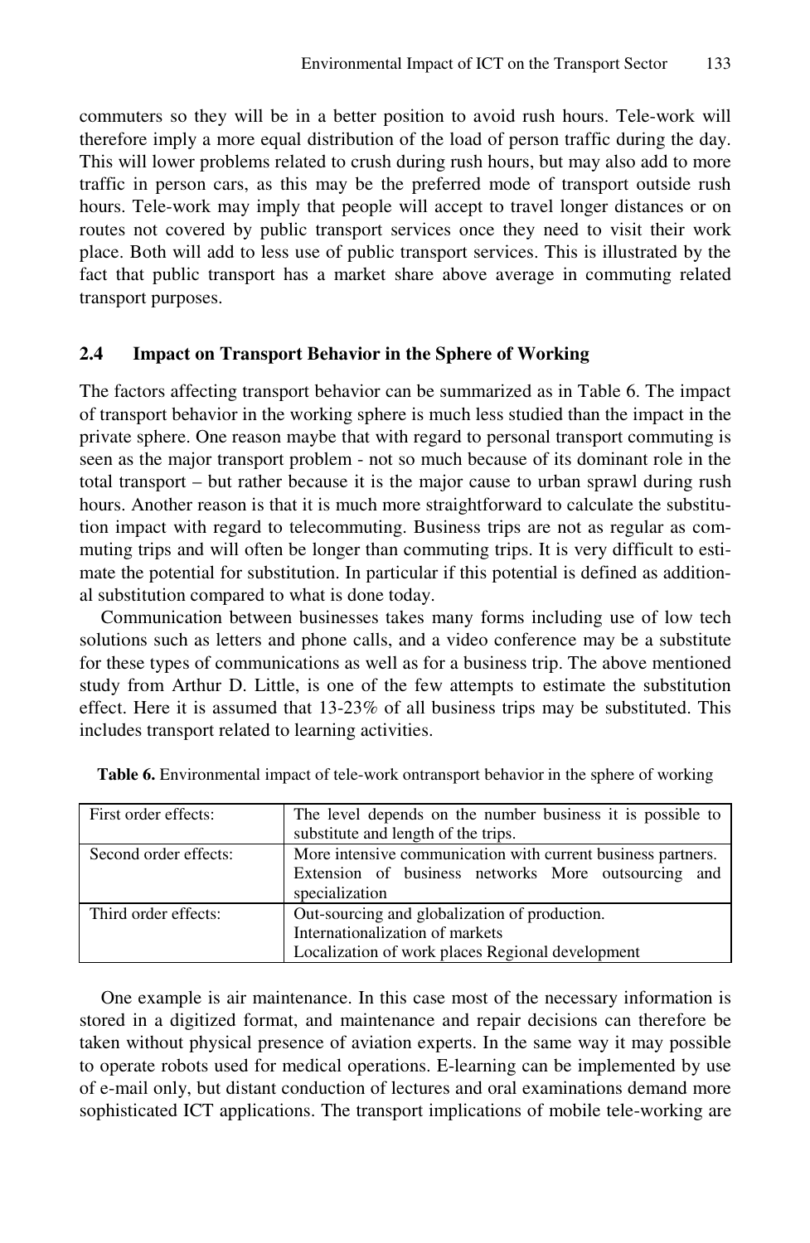commuters so they will be in a better position to avoid rush hours. Tele-work will therefore imply a more equal distribution of the load of person traffic during the day. This will lower problems related to crush during rush hours, but may also add to more traffic in person cars, as this may be the preferred mode of transport outside rush hours. Tele-work may imply that people will accept to travel longer distances or on routes not covered by public transport services once they need to visit their work place. Both will add to less use of public transport services. This is illustrated by the fact that public transport has a market share above average in commuting related transport purposes.

#### **2.4 Impact on Transport Behavior in the Sphere of Working**

The factors affecting transport behavior can be summarized as in Table 6. The impact of transport behavior in the working sphere is much less studied than the impact in the private sphere. One reason maybe that with regard to personal transport commuting is seen as the major transport problem - not so much because of its dominant role in the total transport – but rather because it is the major cause to urban sprawl during rush hours. Another reason is that it is much more straightforward to calculate the substitution impact with regard to telecommuting. Business trips are not as regular as commuting trips and will often be longer than commuting trips. It is very difficult to estimate the potential for substitution. In particular if this potential is defined as additional substitution compared to what is done today.

Communication between businesses takes many forms including use of low tech solutions such as letters and phone calls, and a video conference may be a substitute for these types of communications as well as for a business trip. The above mentioned study from Arthur D. Little, is one of the few attempts to estimate the substitution effect. Here it is assumed that 13-23% of all business trips may be substituted. This includes transport related to learning activities.

| First order effects:  | The level depends on the number business it is possible to            |  |
|-----------------------|-----------------------------------------------------------------------|--|
|                       | substitute and length of the trips.                                   |  |
| Second order effects: | More intensive communication with current business partners.          |  |
|                       | Extension of business networks More outsourcing and<br>specialization |  |
| Third order effects:  | Out-sourcing and globalization of production.                         |  |
|                       | Internationalization of markets                                       |  |
|                       | Localization of work places Regional development                      |  |

**Table 6.** Environmental impact of tele-work ontransport behavior in the sphere of working

One example is air maintenance. In this case most of the necessary information is stored in a digitized format, and maintenance and repair decisions can therefore be taken without physical presence of aviation experts. In the same way it may possible to operate robots used for medical operations. E-learning can be implemented by use of e-mail only, but distant conduction of lectures and oral examinations demand more sophisticated ICT applications. The transport implications of mobile tele-working are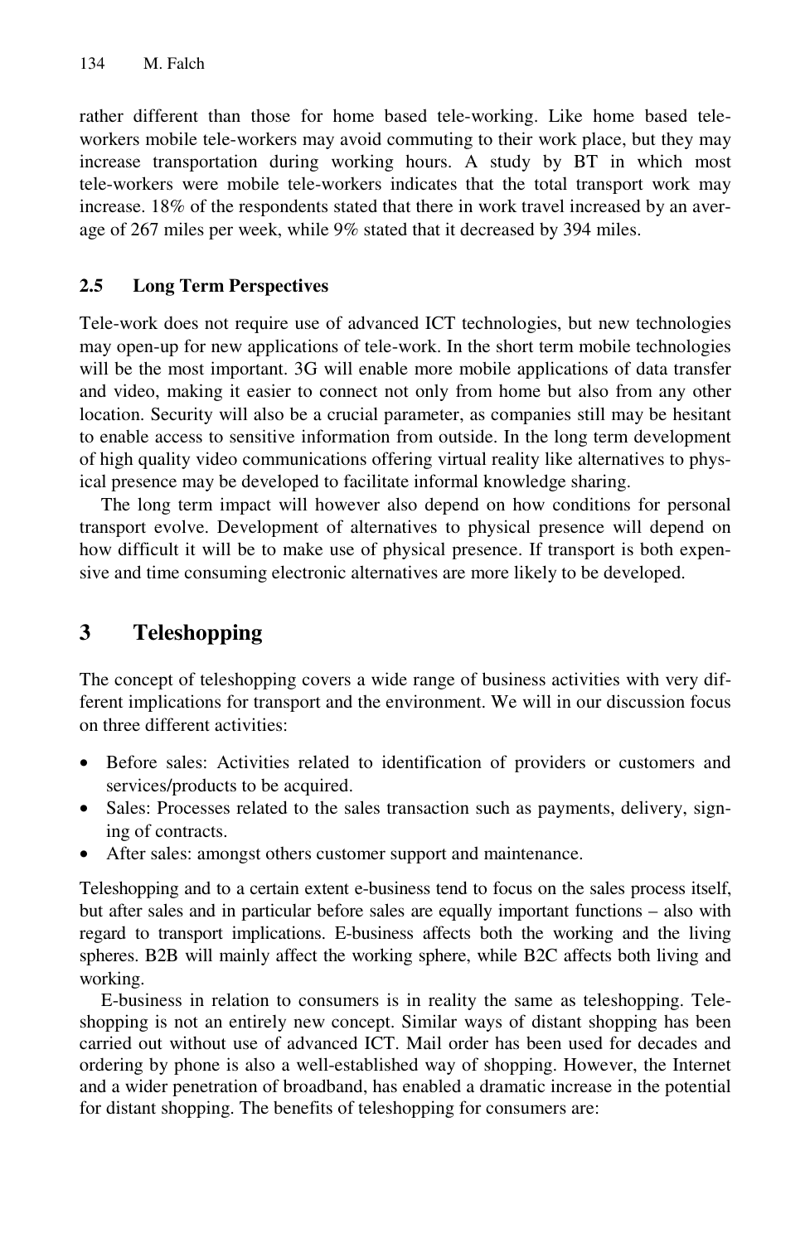rather different than those for home based tele-working. Like home based teleworkers mobile tele-workers may avoid commuting to their work place, but they may increase transportation during working hours. A study by BT in which most tele-workers were mobile tele-workers indicates that the total transport work may increase. 18% of the respondents stated that there in work travel increased by an average of 267 miles per week, while 9% stated that it decreased by 394 miles.

## **2.5 Long Term Perspectives**

Tele-work does not require use of advanced ICT technologies, but new technologies may open-up for new applications of tele-work. In the short term mobile technologies will be the most important. 3G will enable more mobile applications of data transfer and video, making it easier to connect not only from home but also from any other location. Security will also be a crucial parameter, as companies still may be hesitant to enable access to sensitive information from outside. In the long term development of high quality video communications offering virtual reality like alternatives to physical presence may be developed to facilitate informal knowledge sharing.

The long term impact will however also depend on how conditions for personal transport evolve. Development of alternatives to physical presence will depend on how difficult it will be to make use of physical presence. If transport is both expensive and time consuming electronic alternatives are more likely to be developed.

# **3 Teleshopping**

The concept of teleshopping covers a wide range of business activities with very different implications for transport and the environment. We will in our discussion focus on three different activities:

- Before sales: Activities related to identification of providers or customers and services/products to be acquired.
- Sales: Processes related to the sales transaction such as payments, delivery, signing of contracts.
- After sales: amongst others customer support and maintenance.

Teleshopping and to a certain extent e-business tend to focus on the sales process itself, but after sales and in particular before sales are equally important functions – also with regard to transport implications. E-business affects both the working and the living spheres. B2B will mainly affect the working sphere, while B2C affects both living and working.

E-business in relation to consumers is in reality the same as teleshopping. Teleshopping is not an entirely new concept. Similar ways of distant shopping has been carried out without use of advanced ICT. Mail order has been used for decades and ordering by phone is also a well-established way of shopping. However, the Internet and a wider penetration of broadband, has enabled a dramatic increase in the potential for distant shopping. The benefits of teleshopping for consumers are: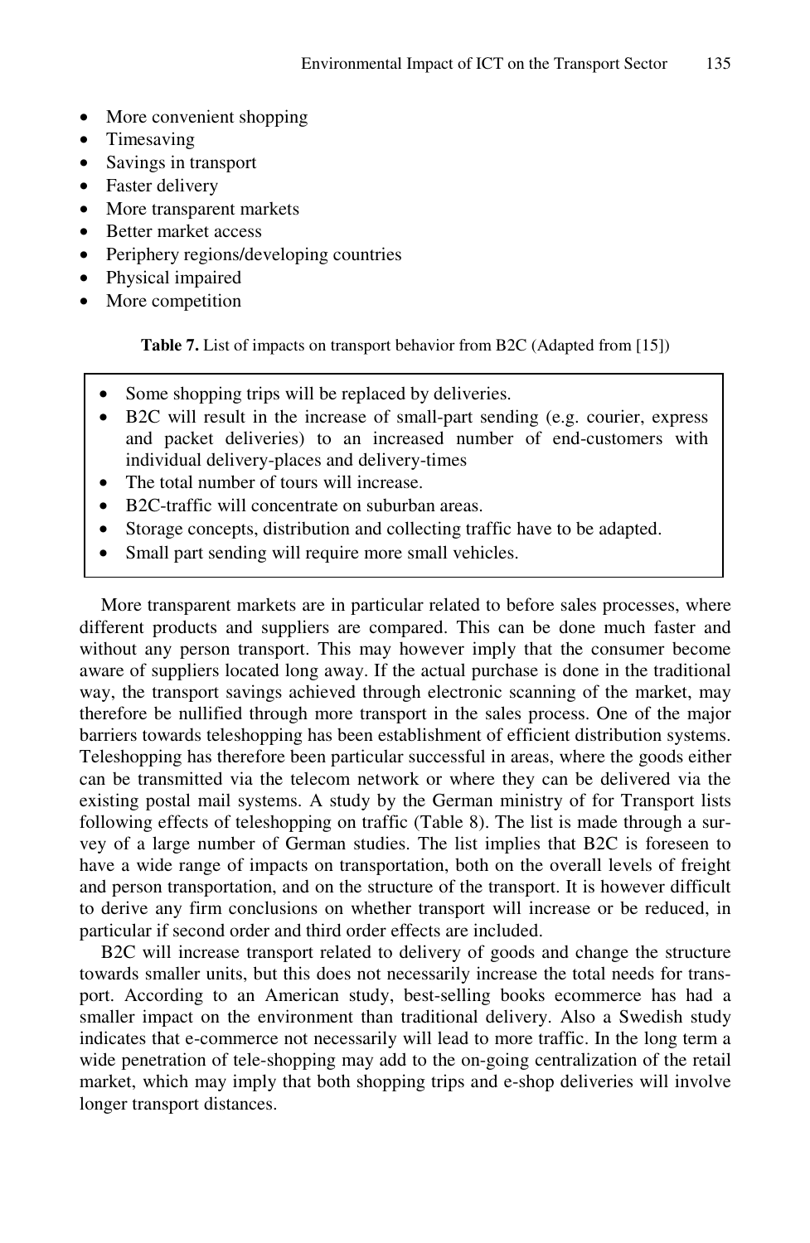- More convenient shopping
- Timesaving
- Savings in transport
- Faster delivery
- More transparent markets
- Better market access
- Periphery regions/developing countries
- Physical impaired
- More competition

**Table 7.** List of impacts on transport behavior from B2C (Adapted from [15])

- Some shopping trips will be replaced by deliveries.
- B2C will result in the increase of small-part sending (e.g. courier, express and packet deliveries) to an increased number of end-customers with individual delivery-places and delivery-times
- The total number of tours will increase.
- B2C-traffic will concentrate on suburban areas.
- Storage concepts, distribution and collecting traffic have to be adapted.
- Small part sending will require more small vehicles.

More transparent markets are in particular related to before sales processes, where different products and suppliers are compared. This can be done much faster and without any person transport. This may however imply that the consumer become aware of suppliers located long away. If the actual purchase is done in the traditional way, the transport savings achieved through electronic scanning of the market, may therefore be nullified through more transport in the sales process. One of the major barriers towards teleshopping has been establishment of efficient distribution systems. Teleshopping has therefore been particular successful in areas, where the goods either can be transmitted via the telecom network or where they can be delivered via the existing postal mail systems. A study by the German ministry of for Transport lists following effects of teleshopping on traffic (Table 8). The list is made through a survey of a large number of German studies. The list implies that B2C is foreseen to have a wide range of impacts on transportation, both on the overall levels of freight and person transportation, and on the structure of the transport. It is however difficult to derive any firm conclusions on whether transport will increase or be reduced, in particular if second order and third order effects are included.

B2C will increase transport related to delivery of goods and change the structure towards smaller units, but this does not necessarily increase the total needs for transport. According to an American study, best-selling books ecommerce has had a smaller impact on the environment than traditional delivery. Also a Swedish study indicates that e-commerce not necessarily will lead to more traffic. In the long term a wide penetration of tele-shopping may add to the on-going centralization of the retail market, which may imply that both shopping trips and e-shop deliveries will involve longer transport distances.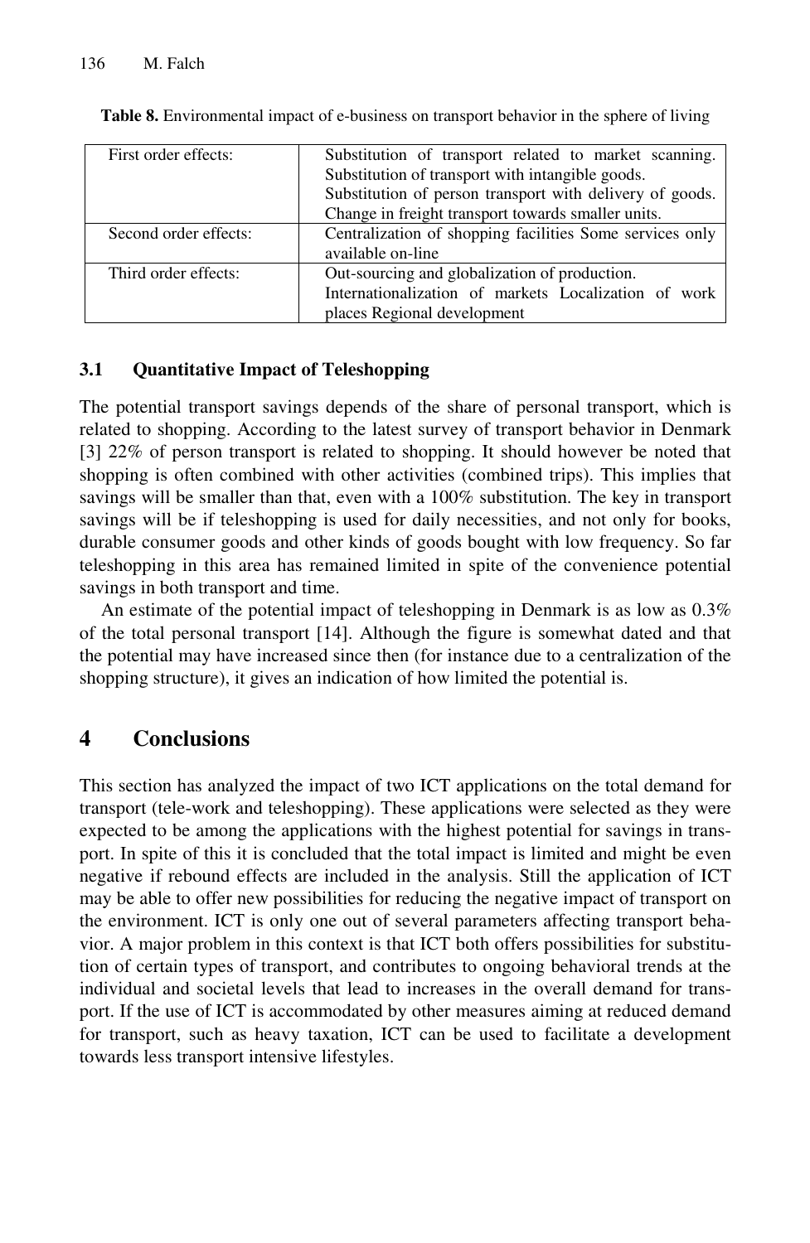| First order effects:  | Substitution of transport related to market scanning.    |  |
|-----------------------|----------------------------------------------------------|--|
|                       | Substitution of transport with intangible goods.         |  |
|                       | Substitution of person transport with delivery of goods. |  |
|                       | Change in freight transport towards smaller units.       |  |
| Second order effects: | Centralization of shopping facilities Some services only |  |
|                       | available on-line                                        |  |
| Third order effects:  | Out-sourcing and globalization of production.            |  |
|                       | Internationalization of markets Localization of work     |  |
|                       | places Regional development                              |  |

**Table 8.** Environmental impact of e-business on transport behavior in the sphere of living

### **3.1 Quantitative Impact of Teleshopping**

The potential transport savings depends of the share of personal transport, which is related to shopping. According to the latest survey of transport behavior in Denmark [3] 22% of person transport is related to shopping. It should however be noted that shopping is often combined with other activities (combined trips). This implies that savings will be smaller than that, even with a 100% substitution. The key in transport savings will be if teleshopping is used for daily necessities, and not only for books, durable consumer goods and other kinds of goods bought with low frequency. So far teleshopping in this area has remained limited in spite of the convenience potential savings in both transport and time.

An estimate of the potential impact of teleshopping in Denmark is as low as 0.3% of the total personal transport [14]. Although the figure is somewhat dated and that the potential may have increased since then (for instance due to a centralization of the shopping structure), it gives an indication of how limited the potential is.

# **4 Conclusions**

This section has analyzed the impact of two ICT applications on the total demand for transport (tele-work and teleshopping). These applications were selected as they were expected to be among the applications with the highest potential for savings in transport. In spite of this it is concluded that the total impact is limited and might be even negative if rebound effects are included in the analysis. Still the application of ICT may be able to offer new possibilities for reducing the negative impact of transport on the environment. ICT is only one out of several parameters affecting transport behavior. A major problem in this context is that ICT both offers possibilities for substitution of certain types of transport, and contributes to ongoing behavioral trends at the individual and societal levels that lead to increases in the overall demand for transport. If the use of ICT is accommodated by other measures aiming at reduced demand for transport, such as heavy taxation, ICT can be used to facilitate a development towards less transport intensive lifestyles.